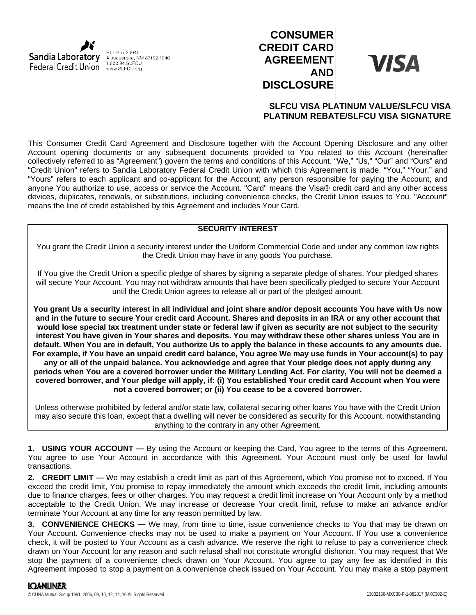

P.O. Box 23040 Albuquerque, NM 87192-1040 1.800.94.SLFCU

# **CONSUMER CREDIT CARD AGREEMENT AND DISCLOSURE**

**VISA** 

# **SLFCU VISA PLATINUM VALUE/SLFCU VISA PLATINUM REBATE/SLFCU VISA SIGNATURE**

This Consumer Credit Card Agreement and Disclosure together with the Account Opening Disclosure and any other Account opening documents or any subsequent documents provided to You related to this Account (hereinafter collectively referred to as "Agreement") govern the terms and conditions of this Account. "We," "Us," "Our" and "Ours" and "Credit Union" refers to Sandia Laboratory Federal Credit Union with which this Agreement is made. "You," "Your," and "Yours" refers to each applicant and co-applicant for the Account; any person responsible for paying the Account; and anyone You authorize to use, access or service the Account. "Card" means the Visa® credit card and any other access devices, duplicates, renewals, or substitutions, including convenience checks, the Credit Union issues to You. "Account" means the line of credit established by this Agreement and includes Your Card.

# **SECURITY INTEREST**

You grant the Credit Union a security interest under the Uniform Commercial Code and under any common law rights the Credit Union may have in any goods You purchase.

If You give the Credit Union a specific pledge of shares by signing a separate pledge of shares, Your pledged shares will secure Your Account. You may not withdraw amounts that have been specifically pledged to secure Your Account until the Credit Union agrees to release all or part of the pledged amount.

**You grant Us a security interest in all individual and joint share and/or deposit accounts You have with Us now and in the future to secure Your credit card Account. Shares and deposits in an IRA or any other account that would lose special tax treatment under state or federal law if given as security are not subject to the security interest You have given in Your shares and deposits. You may withdraw these other shares unless You are in default. When You are in default, You authorize Us to apply the balance in these accounts to any amounts due. For example, if You have an unpaid credit card balance, You agree We may use funds in Your account(s) to pay any or all of the unpaid balance. You acknowledge and agree that Your pledge does not apply during any periods when You are a covered borrower under the Military Lending Act. For clarity, You will not be deemed a covered borrower, and Your pledge will apply, if: (i) You established Your credit card Account when You were not a covered borrower; or (ii) You cease to be a covered borrower.**

Unless otherwise prohibited by federal and/or state law, collateral securing other loans You have with the Credit Union may also secure this loan, except that a dwelling will never be considered as security for this Account, notwithstanding anything to the contrary in any other Agreement.

**1. USING YOUR ACCOUNT —** By using the Account or keeping the Card, You agree to the terms of this Agreement. You agree to use Your Account in accordance with this Agreement. Your Account must only be used for lawful transactions.

**2. CREDIT LIMIT —** We may establish a credit limit as part of this Agreement, which You promise not to exceed. If You exceed the credit limit, You promise to repay immediately the amount which exceeds the credit limit, including amounts due to finance charges, fees or other charges. You may request a credit limit increase on Your Account only by a method acceptable to the Credit Union. We may increase or decrease Your credit limit, refuse to make an advance and/or terminate Your Account at any time for any reason permitted by law.

**3. CONVENIENCE CHECKS —** We may, from time to time, issue convenience checks to You that may be drawn on Your Account. Convenience checks may not be used to make a payment on Your Account. If You use a convenience check, it will be posted to Your Account as a cash advance. We reserve the right to refuse to pay a convenience check drawn on Your Account for any reason and such refusal shall not constitute wrongful dishonor. You may request that We stop the payment of a convenience check drawn on Your Account. You agree to pay any fee as identified in this Agreement imposed to stop a payment on a convenience check issued on Your Account. You may make a stop payment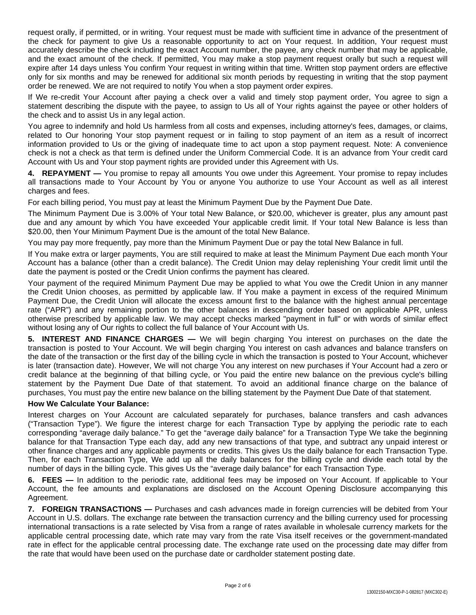request orally, if permitted, or in writing. Your request must be made with sufficient time in advance of the presentment of the check for payment to give Us a reasonable opportunity to act on Your request. In addition, Your request must accurately describe the check including the exact Account number, the payee, any check number that may be applicable, and the exact amount of the check. If permitted, You may make a stop payment request orally but such a request will expire after 14 days unless You confirm Your request in writing within that time. Written stop payment orders are effective only for six months and may be renewed for additional six month periods by requesting in writing that the stop payment order be renewed. We are not required to notify You when a stop payment order expires.

If We re-credit Your Account after paying a check over a valid and timely stop payment order, You agree to sign a statement describing the dispute with the payee, to assign to Us all of Your rights against the payee or other holders of the check and to assist Us in any legal action.

You agree to indemnify and hold Us harmless from all costs and expenses, including attorney's fees, damages, or claims, related to Our honoring Your stop payment request or in failing to stop payment of an item as a result of incorrect information provided to Us or the giving of inadequate time to act upon a stop payment request. Note: A convenience check is not a check as that term is defined under the Uniform Commercial Code. It is an advance from Your credit card Account with Us and Your stop payment rights are provided under this Agreement with Us.

**4. REPAYMENT —** You promise to repay all amounts You owe under this Agreement. Your promise to repay includes all transactions made to Your Account by You or anyone You authorize to use Your Account as well as all interest charges and fees.

For each billing period, You must pay at least the Minimum Payment Due by the Payment Due Date.

The Minimum Payment Due is 3.00% of Your total New Balance, or \$20.00, whichever is greater, plus any amount past due and any amount by which You have exceeded Your applicable credit limit. If Your total New Balance is less than \$20.00, then Your Minimum Payment Due is the amount of the total New Balance.

You may pay more frequently, pay more than the Minimum Payment Due or pay the total New Balance in full.

If You make extra or larger payments, You are still required to make at least the Minimum Payment Due each month Your Account has a balance (other than a credit balance). The Credit Union may delay replenishing Your credit limit until the date the payment is posted or the Credit Union confirms the payment has cleared.

Your payment of the required Minimum Payment Due may be applied to what You owe the Credit Union in any manner the Credit Union chooses, as permitted by applicable law. If You make a payment in excess of the required Minimum Payment Due, the Credit Union will allocate the excess amount first to the balance with the highest annual percentage rate ("APR") and any remaining portion to the other balances in descending order based on applicable APR, unless otherwise prescribed by applicable law. We may accept checks marked "payment in full" or with words of similar effect without losing any of Our rights to collect the full balance of Your Account with Us.

**5. INTEREST AND FINANCE CHARGES —** We will begin charging You interest on purchases on the date the transaction is posted to Your Account. We will begin charging You interest on cash advances and balance transfers on the date of the transaction or the first day of the billing cycle in which the transaction is posted to Your Account, whichever is later (transaction date). However, We will not charge You any interest on new purchases if Your Account had a zero or credit balance at the beginning of that billing cycle, or You paid the entire new balance on the previous cycle's billing statement by the Payment Due Date of that statement. To avoid an additional finance charge on the balance of purchases, You must pay the entire new balance on the billing statement by the Payment Due Date of that statement.

## **How We Calculate Your Balance:**

Interest charges on Your Account are calculated separately for purchases, balance transfers and cash advances ("Transaction Type"). We figure the interest charge for each Transaction Type by applying the periodic rate to each corresponding "average daily balance." To get the "average daily balance" for a Transaction Type We take the beginning balance for that Transaction Type each day, add any new transactions of that type, and subtract any unpaid interest or other finance charges and any applicable payments or credits. This gives Us the daily balance for each Transaction Type. Then, for each Transaction Type, We add up all the daily balances for the billing cycle and divide each total by the number of days in the billing cycle. This gives Us the "average daily balance" for each Transaction Type.

**6. FEES —** In addition to the periodic rate, additional fees may be imposed on Your Account. If applicable to Your Account, the fee amounts and explanations are disclosed on the Account Opening Disclosure accompanying this Agreement.

**7. FOREIGN TRANSACTIONS —** Purchases and cash advances made in foreign currencies will be debited from Your Account in U.S. dollars. The exchange rate between the transaction currency and the billing currency used for processing international transactions is a rate selected by Visa from a range of rates available in wholesale currency markets for the applicable central processing date, which rate may vary from the rate Visa itself receives or the government-mandated rate in effect for the applicable central processing date. The exchange rate used on the processing date may differ from the rate that would have been used on the purchase date or cardholder statement posting date.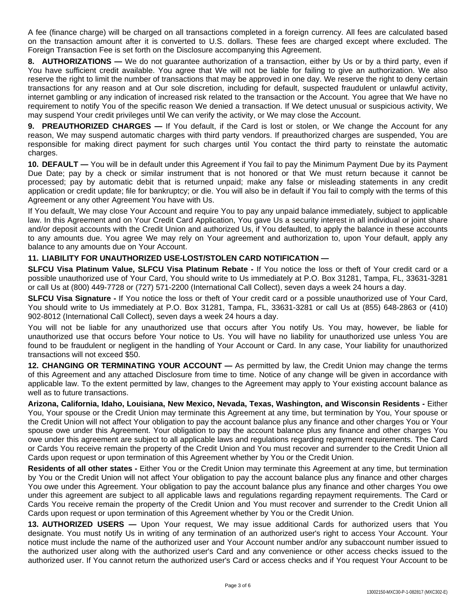A fee (finance charge) will be charged on all transactions completed in a foreign currency. All fees are calculated based on the transaction amount after it is converted to U.S. dollars. These fees are charged except where excluded. The Foreign Transaction Fee is set forth on the Disclosure accompanying this Agreement.

**8. AUTHORIZATIONS —** We do not guarantee authorization of a transaction, either by Us or by a third party, even if You have sufficient credit available. You agree that We will not be liable for failing to give an authorization. We also reserve the right to limit the number of transactions that may be approved in one day. We reserve the right to deny certain transactions for any reason and at Our sole discretion, including for default, suspected fraudulent or unlawful activity, internet gambling or any indication of increased risk related to the transaction or the Account. You agree that We have no requirement to notify You of the specific reason We denied a transaction. If We detect unusual or suspicious activity, We may suspend Your credit privileges until We can verify the activity, or We may close the Account.

**9. PREAUTHORIZED CHARGES —** If You default, if the Card is lost or stolen, or We change the Account for any reason, We may suspend automatic charges with third party vendors. If preauthorized charges are suspended, You are responsible for making direct payment for such charges until You contact the third party to reinstate the automatic charges.

**10. DEFAULT —** You will be in default under this Agreement if You fail to pay the Minimum Payment Due by its Payment Due Date; pay by a check or similar instrument that is not honored or that We must return because it cannot be processed; pay by automatic debit that is returned unpaid; make any false or misleading statements in any credit application or credit update; file for bankruptcy; or die. You will also be in default if You fail to comply with the terms of this Agreement or any other Agreement You have with Us.

If You default, We may close Your Account and require You to pay any unpaid balance immediately, subject to applicable law. In this Agreement and on Your Credit Card Application, You gave Us a security interest in all individual or joint share and/or deposit accounts with the Credit Union and authorized Us, if You defaulted, to apply the balance in these accounts to any amounts due. You agree We may rely on Your agreement and authorization to, upon Your default, apply any balance to any amounts due on Your Account.

# **11. LIABILITY FOR UNAUTHORIZED USE-LOST/STOLEN CARD NOTIFICATION —**

**SLFCU Visa Platinum Value, SLFCU Visa Platinum Rebate -** If You notice the loss or theft of Your credit card or a possible unauthorized use of Your Card, You should write to Us immediately at P.O. Box 31281, Tampa, FL, 33631-3281 or call Us at (800) 449-7728 or (727) 571-2200 (International Call Collect), seven days a week 24 hours a day.

**SLFCU Visa Signature -** If You notice the loss or theft of Your credit card or a possible unauthorized use of Your Card, You should write to Us immediately at P.O. Box 31281, Tampa, FL, 33631-3281 or call Us at (855) 648-2863 or (410) 902-8012 (International Call Collect), seven days a week 24 hours a day.

You will not be liable for any unauthorized use that occurs after You notify Us. You may, however, be liable for unauthorized use that occurs before Your notice to Us. You will have no liability for unauthorized use unless You are found to be fraudulent or negligent in the handling of Your Account or Card. In any case, Your liability for unauthorized transactions will not exceed \$50.

**12. CHANGING OR TERMINATING YOUR ACCOUNT —** As permitted by law, the Credit Union may change the terms of this Agreement and any attached Disclosure from time to time. Notice of any change will be given in accordance with applicable law. To the extent permitted by law, changes to the Agreement may apply to Your existing account balance as well as to future transactions.

**Arizona, California, Idaho, Louisiana, New Mexico, Nevada, Texas, Washington, and Wisconsin Residents -** Either You, Your spouse or the Credit Union may terminate this Agreement at any time, but termination by You, Your spouse or the Credit Union will not affect Your obligation to pay the account balance plus any finance and other charges You or Your spouse owe under this Agreement. Your obligation to pay the account balance plus any finance and other charges You owe under this agreement are subject to all applicable laws and regulations regarding repayment requirements. The Card or Cards You receive remain the property of the Credit Union and You must recover and surrender to the Credit Union all Cards upon request or upon termination of this Agreement whether by You or the Credit Union.

**Residents of all other states -** Either You or the Credit Union may terminate this Agreement at any time, but termination by You or the Credit Union will not affect Your obligation to pay the account balance plus any finance and other charges You owe under this Agreement. Your obligation to pay the account balance plus any finance and other charges You owe under this agreement are subject to all applicable laws and regulations regarding repayment requirements. The Card or Cards You receive remain the property of the Credit Union and You must recover and surrender to the Credit Union all Cards upon request or upon termination of this Agreement whether by You or the Credit Union.

**13. AUTHORIZED USERS —** Upon Your request, We may issue additional Cards for authorized users that You designate. You must notify Us in writing of any termination of an authorized user's right to access Your Account. Your notice must include the name of the authorized user and Your Account number and/or any subaccount number issued to the authorized user along with the authorized user's Card and any convenience or other access checks issued to the authorized user. If You cannot return the authorized user's Card or access checks and if You request Your Account to be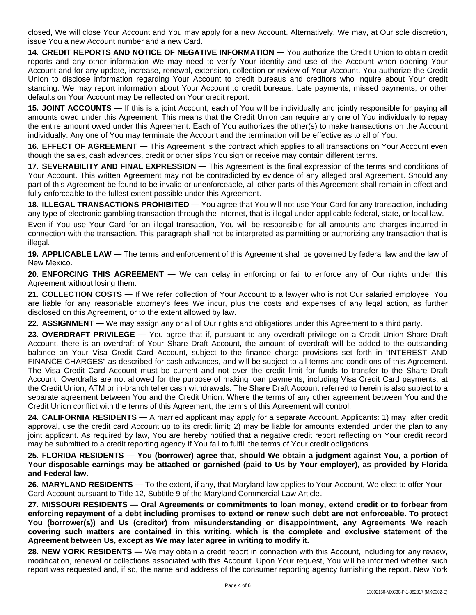closed, We will close Your Account and You may apply for a new Account. Alternatively, We may, at Our sole discretion, issue You a new Account number and a new Card.

**14. CREDIT REPORTS AND NOTICE OF NEGATIVE INFORMATION —** You authorize the Credit Union to obtain credit reports and any other information We may need to verify Your identity and use of the Account when opening Your Account and for any update, increase, renewal, extension, collection or review of Your Account. You authorize the Credit Union to disclose information regarding Your Account to credit bureaus and creditors who inquire about Your credit standing. We may report information about Your Account to credit bureaus. Late payments, missed payments, or other defaults on Your Account may be reflected on Your credit report.

**15. JOINT ACCOUNTS —** If this is a joint Account, each of You will be individually and jointly responsible for paying all amounts owed under this Agreement. This means that the Credit Union can require any one of You individually to repay the entire amount owed under this Agreement. Each of You authorizes the other(s) to make transactions on the Account individually. Any one of You may terminate the Account and the termination will be effective as to all of You.

**16. EFFECT OF AGREEMENT —** This Agreement is the contract which applies to all transactions on Your Account even though the sales, cash advances, credit or other slips You sign or receive may contain different terms.

**17. SEVERABILITY AND FINAL EXPRESSION —** This Agreement is the final expression of the terms and conditions of Your Account. This written Agreement may not be contradicted by evidence of any alleged oral Agreement. Should any part of this Agreement be found to be invalid or unenforceable, all other parts of this Agreement shall remain in effect and fully enforceable to the fullest extent possible under this Agreement.

**18. ILLEGAL TRANSACTIONS PROHIBITED —** You agree that You will not use Your Card for any transaction, including any type of electronic gambling transaction through the Internet, that is illegal under applicable federal, state, or local law.

Even if You use Your Card for an illegal transaction, You will be responsible for all amounts and charges incurred in connection with the transaction. This paragraph shall not be interpreted as permitting or authorizing any transaction that is illegal.

**19. APPLICABLE LAW —** The terms and enforcement of this Agreement shall be governed by federal law and the law of New Mexico.

**20. ENFORCING THIS AGREEMENT —** We can delay in enforcing or fail to enforce any of Our rights under this Agreement without losing them.

**21. COLLECTION COSTS —** If We refer collection of Your Account to a lawyer who is not Our salaried employee, You are liable for any reasonable attorney's fees We incur, plus the costs and expenses of any legal action, as further disclosed on this Agreement, or to the extent allowed by law.

**22. ASSIGNMENT —** We may assign any or all of Our rights and obligations under this Agreement to a third party.

**23. OVERDRAFT PRIVILEGE —** You agree that if, pursuant to any overdraft privilege on a Credit Union Share Draft Account, there is an overdraft of Your Share Draft Account, the amount of overdraft will be added to the outstanding balance on Your Visa Credit Card Account, subject to the finance charge provisions set forth in "INTEREST AND FINANCE CHARGES" as described for cash advances, and will be subject to all terms and conditions of this Agreement. The Visa Credit Card Account must be current and not over the credit limit for funds to transfer to the Share Draft Account. Overdrafts are not allowed for the purpose of making loan payments, including Visa Credit Card payments, at the Credit Union, ATM or in-branch teller cash withdrawals. The Share Draft Account referred to herein is also subject to a separate agreement between You and the Credit Union. Where the terms of any other agreement between You and the Credit Union conflict with the terms of this Agreement, the terms of this Agreement will control.

**24. CALIFORNIA RESIDENTS —** A married applicant may apply for a separate Account. Applicants: 1) may, after credit approval, use the credit card Account up to its credit limit; 2) may be liable for amounts extended under the plan to any joint applicant. As required by law, You are hereby notified that a negative credit report reflecting on Your credit record may be submitted to a credit reporting agency if You fail to fulfill the terms of Your credit obligations.

25. FLORIDA RESIDENTS - You (borrower) agree that, should We obtain a judgment against You, a portion of Your disposable earnings may be attached or garnished (paid to Us by Your employer), as provided by Florida **and Federal law.**

**26. MARYLAND RESIDENTS —** To the extent, if any, that Maryland law applies to Your Account, We elect to offer Your Card Account pursuant to Title 12, Subtitle 9 of the Maryland Commercial Law Article.

**27. MISSOURI RESIDENTS — Oral Agreements or commitments to loan money, extend credit or to forbear from** enforcing repayment of a debt including promises to extend or renew such debt are not enforceable. To protect **You (borrower(s)) and Us (creditor) from misunderstanding or disappointment, any Agreements We reach covering such matters are contained in this writing, which is the complete and exclusive statement of the Agreement between Us, except as We may later agree in writing to modify it.**

**28. NEW YORK RESIDENTS —** We may obtain a credit report in connection with this Account, including for any review, modification, renewal or collections associated with this Account. Upon Your request, You will be informed whether such report was requested and, if so, the name and address of the consumer reporting agency furnishing the report. New York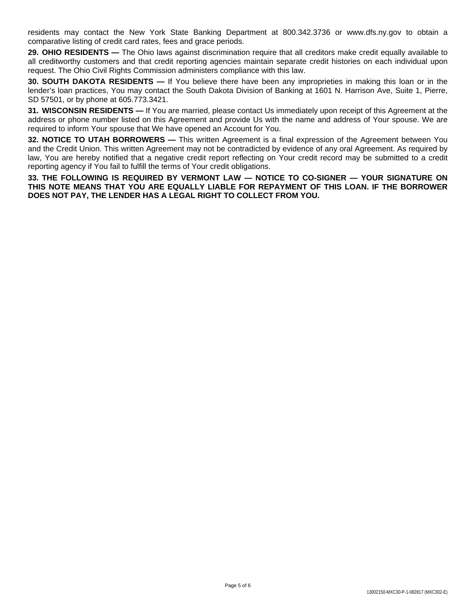residents may contact the New York State Banking Department at 800.342.3736 or www.dfs.ny.gov to obtain a comparative listing of credit card rates, fees and grace periods.

**29. OHIO RESIDENTS** — The Ohio laws against discrimination require that all creditors make credit equally available to all creditworthy customers and that credit reporting agencies maintain separate credit histories on each individual upon request. The Ohio Civil Rights Commission administers compliance with this law.

**30. SOUTH DAKOTA RESIDENTS —** If You believe there have been any improprieties in making this loan or in the lender's loan practices, You may contact the South Dakota Division of Banking at 1601 N. Harrison Ave, Suite 1, Pierre, SD 57501, or by phone at 605.773.3421.

**31. WISCONSIN RESIDENTS —** If You are married, please contact Us immediately upon receipt of this Agreement at the address or phone number listed on this Agreement and provide Us with the name and address of Your spouse. We are required to inform Your spouse that We have opened an Account for You.

**32. NOTICE TO UTAH BORROWERS —** This written Agreement is a final expression of the Agreement between You and the Credit Union. This written Agreement may not be contradicted by evidence of any oral Agreement. As required by law, You are hereby notified that a negative credit report reflecting on Your credit record may be submitted to a credit reporting agency if You fail to fulfill the terms of Your credit obligations.

**33. THE FOLLOWING IS REQUIRED BY VERMONT LAW — NOTICE TO CO-SIGNER — YOUR SIGNATURE ON THIS NOTE MEANS THAT YOU ARE EQUALLY LIABLE FOR REPAYMENT OF THIS LOAN. IF THE BORROWER DOES NOT PAY, THE LENDER HAS A LEGAL RIGHT TO COLLECT FROM YOU.**